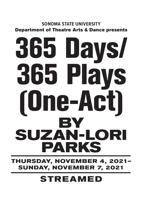## **SONOMA STATE UNIVERSITY** Department of Theatre Arts & Dance presents

# 365 Days/ 365 Plays (One-Act) **BY SUZAN-LORI PARKS**

**THURSDAY, NOVEMBER 4, 2021-SUNDAY, NOVEMBER 7, 2021**

# **STREAMED**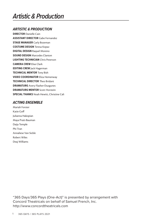## *Artistic & Production*

#### *ARTISTIC & PRODUCTION*

**DIRECTOR** Danielle Cain **ASSISTANT DIRECTOR** Gabe Fernandez **STAGE MANAGER** Carly Bozeman **COSTUME DESIGN** Teresa Kopaz **DIGITAL DESIGN** Raquel Moreno **SOUND DESIGN** Marcedes Clanton **LIGHTING TECHNICIAN** Chris Peterson **CAMERA CREW** Elise Clark **EDITING CREW** Jack Hagerman **TECHNICAL MENTOR** Tony Bish **VIDEO COORDINATOR** Eliza Hemenway **TECHNICAL DIRECTOR** Theo Bridant **DRAMATURG** Avery Flasher-Duzgunes **DRAMATURG MENTOR** Scott Horstein **SPECIAL THANKS** Noah Hewitt, Christine Cali

#### *ACTING ENSEMBLE*

Mariah Forster Katie Goff Julianna Hakopian Maya Pratt-Bauman Daija Temple Phi Tran Annaliese Van Sickle Robert Wiles Deaj Williams

"365 Days/365 Plays (One-Act)" is presented by arrangement with Concord Theatricals on behalf of Samuel French, Inc. http://www.concordtheatricals.com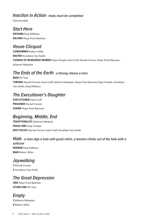#### *Inaction in Action - tasks must be completed*

Full ensemble

# *Start Here*

**KRISHNA** Deaj WIlliams **ARJUNA** Maya Pratt-Bauman

#### *Veuve Clicquot*

**CONDEMNED** Robert Wiles **WAITER** Annaliese Van Sickle **CHORUS OF MURDERED WOMEN** Daija Temple, Katie Goff, Mariah Forster, Maya Pratt-Bauman, Julianna Hakopian

#### *The Ends of the Earth - a throng chases a man*

**MAN** Phi Tran **THRONG** Mariah Forster, Katie Goff, Julianna Hakopian, Maya Pratt-Bauman,Daija Temple, Annaliese Van Sickle, Deaj Williams

## *The Executioner's Daughter*

**EXECUTIONER** Katie Goff **PRISONER** Mariah Forster **GUARD** Maya Pratt-Bauman

#### *Beginning, Middle, End*

**TRADITIONALIST** Julianna Hakopian **FRESH ONE** Daija Temple **RIOT POLICE** Mariah Forster, Katie Goff, Annaliese Van Sickle

#### *Hole - a man digs a hole with great relish, a woman climbs out of the hole with a*

*suitcase* **WOMAN** Deaj Williams **MAN** Robert Wiles

#### *Jaywalking*

**1** Mariah Forster **2** Annaliese Van Sickle

## *The Great Depression*

**ONE** Maya Pratt-Bauman **OTHER ONE** Phi Tran

## *Empty*

**1** Julianna Hakopian **2** Robert Wiles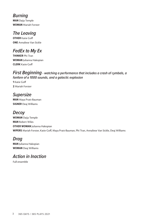*Burning* **MAN** Daija Temple **WOMAN** Mariah Forster

#### *The Leaving*

**OTHER** Katie Goff **ONE** Annaliese Van Sickle

## *FedEx to My Ex*

**THINKER** Phi Tran **WOMAN** Julianna Hakopian **CLERK** Katie Goff

#### *First Beginning - watching a performance that includes a crash of cymbals, a fanfare of a 1000 sounds, and a galactic explosion*

**1** Katie Goff **2** Mariah Forster

*Supersize* **MAN** Maya Pratt-Bauman **SIGNER** Deaj Williams

#### *Decoy*

**WOMAN** Daija Temple **MAN** Robert Wiles **OTHER WOMAN** Julianna Hakopian **WIPERS** Mariah Forster, Katie Goff, Maya Pratt-Bauman, Phi Tran, Annaliese Van Sickle, Deaj Williams

#### *Drag*

**MAN** Julianna Hakopian **WOMAN** Deaj Williams

#### *Action in Inaction*

Full ensemble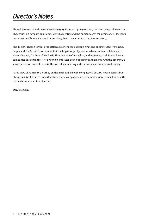# *Director's Notes*

Though Suzan-Lori Parks wrote **365 Days/365 Plays** nearly 20 years ago, the short plays still resonate. They touch on rampant capitalism, identity, bigotry, and the human search for significance. Her year's examination of humanity reveals something that is never perfect, but always striving.

The 18 plays chosen for this production also offer a look at beginnings and endings. *Start Here, Hole, Empty* and *The Great Depression* look at the **beginnings** of journeys, adventures and relationships. *Veuve Clicquot*, *The Ends of the Earth*, *The Executioner's Daughter*, and *Beginning, Middle, End* look at sometimes dark **endings**. *First Beginning* embraces both a beginning and an end! And the other plays show various versions of the **middle**, with all its suffering and confusion and complicated beauty.

Parks' view of humanity's journey on the earth is filled with complicated beauty. Not so perfect but always beautiful. It seems incredibly tender and compassionate to me, and a view we need now, in this particular moment of our journey.

#### **Danielle Cain**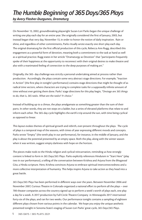#### *The Humble Beginning of 365 Days/365 Plays by Avery Flasher-Duzgunes, Dramaturg*

On November 13, 2002, groundbreaking playwright Suzan-Lori Parks began the unique challenge of writing one play each day for an entire year. She originally considered the first of January, 2003, but instead began that very day, November 13, in order to honor the notion of daily inspiration. Rain or shine, and regardless of other commitments, Parks ritually wrote exactly one short play each day. The original dramaturg for the first official production of this cycle, Rebecca Ann Rugg, described this engagement as a powerful form of devotion, meaning both a commitment to the task at hand as well as a spiritual practice. Rugg states in her article "Dramaturgy as Devotion" that "participants frequently spoke of their happiness at the opportunity to reconnect with their original desires to make theatre and also with a reanimated feeling of connection to the deep purposes of making art."

Originally, the 365- day challenge was strictly a personal undertaking aimed at process rather than production. Accordingly, the plays contain some very abstract stage directions. For example, "Inaction in Action" (the first play in tonight's performance) contains stage directions that might be thought of as radical time vectors, where characters are trying to complete tasks for a supposedly infinite amount of time without ever getting them done. Parks' stage directions for this play begin, *"Onstage are 365 things to do, that is, 365 tasks. What are the tasks? Yr choice."*

Instead of building up to a climax, the plays amalgamate as something greater than the sum of their parts. In other words, they are not steps on a ladder, but a series of elevated platforms that relate to and inform each other. The 365-day cycle highlights the earth's trip around the sun, with time being cyclical as opposed to linear.

This layout evokes themes of spiritual growth and rebirth, ever-present throughout the plays. The cycle of plays is a temporal map of the seasons, with times of year expressing different moods and concepts. Parks wrote "Empty" (the tenth play in our performance), for instance, in the middle of January, and the play is about the potential presented by an empty space. Both the play, along with the winter season when it was written, suggest empty darkness with hope on the horizon.

The pieces make nods to the Hindu religion and cyclical reincarnation, reminding us how strongly content is linked to form in *365 Days/365 Plays.* Parks explicitly references Hinduism in "Start Here" (play two in our performance), a telling of the conversation between Krishna and Arjuna from the *Bhagavad Gita*, a Hindu scripture. Here, Krishna convinces Arjuna to embrace spiritual interconnectedness and a more collective interpretation of humanity. This helps inspire Arjuna to take action as they head into a great battle.

*365 Days/365 Plays* has been performed in different ways over the years. Between November 2006 and November 2007, Curious Theatre in Colorado organized a national effort to perform all the plays – over 700 theater companies across the country signed up to perform a week's worth of plays each, one play a day for a week. A 2017 production by Full Circle Theatre Company in Minneapolis 2017 intertwined forty-six of the plays, and ran for two weeks. Our performance tonight contains a sampling of eighteen different plays chosen from various points in the calendar. We hope you enjoy the unique aesthetic presented tonight in Sonoma State's staging of Suzan-Lori Parks' great cycle, *365 Days/365 Plays*.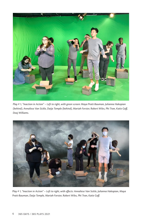

*Play # 1, "Inaction in Action" – Left to right, with green screen: Maya Pratt-Bauman, Julianna Hakopian (behind), Annaliese Van Sickle, Daija Temple (behind), Mariah Forster, Robert Wiles, Phi Tran, Katie Goff, Deaj Williams.*



*Play # 1, "Inaction in Action" – Left to right, with effects: Annaliese Van Sickle, Julianna Hakopian, Maya Pratt-Bauman, Daija Temple, Mariah Forster, Robert Wiles, Phi Tran, Katie Goff.*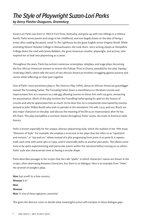# *The Style of Playwright Suzan-Lori Parks*

*by Avery Flasher-Duzgunes, Dramaturg*

Suzan-Lori Parks was born in 1963 in Fort Knox, Kentucky, and grew up with two siblings in a military family. Parks wrote poems and songs in her childhood, and was largely drawn to the idea of being a writer after reading the poetic novel *To The Lighthouse* by the great English writer Virginia Woolf. While attending Mount Holyoke College in Massachusetts, she took short- story writing classes at Hampshire College down the road with James Baldwin, the great American novelist, playwright, and activist, who inspired her to look into playwriting as a career.

Throughout the years, Parks has written numerous screenplays, teleplays, and stage plays, becoming the first African American women to receive the Pulitzer Prize in Drama, awarded for her play *Topdog/ Underdog* (2001), which tells the story of two African-American brothers struggling against poverty and racism while reflecting on their past together.

One of Parks' most prominent plays is *The America Play* (1994), about an African-American gravedigger named The Founding Father. The Founding Father bears a resemblance to Abraham Lincoln and impersonates him at a museum as a side gig, allowing tourists to shoot him with toy guns, reenacting his assassination. Much of the play involves the Foundling Father giving his spiel on the history of Lincoln and why he appreciates him so much. As he does this, he is consistently interrupted by tourists dressed as John Wilkes Booth who wish to partake in the simulation. His wife, Lucy, and son, Brazil, are also major characters in the play and discuss the meaning of his life as an impersonator after he has left them. This play exemplifies a common theme throughout Parks' works, the mark of America's dark history.

Parks is known especially for her unique, abstract playwriting style, which she outlines in her 1994 essay "Elements of Style." For example, she employs a structure in her plays that she refers to as "repetition and revision," or "rep and rev," where instead of a plot progressing from point A to point B, it repeats itself, each time with some spin or twist, until it eventually shifts to another plot point. This allows some time to be spent experimenting with particular events within the narrative before moving on to others. Parks' style also characterizes time as having a circular shape.

Parks describes passages in her scripts that she calls "spells," in which characters' names are shown in the scripts, often alternating between characters, but there is no dialogue. Here is an example from "Hole," the seventh of tonight's plays.

**Man** Suit yrself. Its a free country. **Woman** Is it? **Man Woman Man** Yr one of those agitators, arentcha?

This gives the director room to decide what meaningful action will transpire in these dialogue gaps.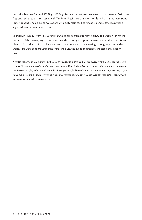Both *The America Play* and *365 Days/365 Plays* feature these signature elements. For instance, Parks uses "rep and rev" to structure scenes with The Founding Father character. While he is at his museum stand impersonating Lincoln, his conversations with customers tend to repeat in general structure, with a slightly different premise each time.

Likewise, in "Decoy" from *365 Days/365 Plays*, the sixteenth of tonight's plays, "rep and rev" drives the narrative of the man trying to court a woman then having to repeat the same actions due to a mistaken identity. According to Parks, these elements are ultimately "…ideas, feelings, thoughts, takes on the world, riffs, ways of approaching the word, the page, the event, the subject, the stage, that keep me *awake*."

*Note for the curious: Dramaturgy is a theater discipline and profession that has existed formally since the eighteenth century. The dramaturg is the production's story analyst. Using text analysis and research, the dramaturg consults on the director's staging vision as well as on the playwright's original intentions in the script. Dramaturgs also use program notes like these, as well as other forms of public engagement, to build conversation between the world of the play and the audiences and artists who enter it.*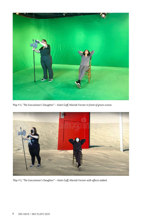

*Play # 5, "The Executioner's Daughter" – Katie Goff, Mariah Forster in front of green screen.*



*Play # 5, "The Executioner's Daughter" – Katie Goff, Mariah Forster with effects added.*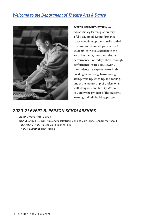#### *Welcome to the Department of Theatre Arts & Dance*



**EVERT B. PERSON THEATRE** is an extraordinary learning laboratory, a fully-equipped live performance space containing professionally staffed costume and scene shops, where SSU students learn skills essential to the art of live dance, music and theater performance. For today's show, through performance-related coursework, the students have spent weeks in this building hammering, harmonizing, acting, welding, stitching, and cabling, under the mentorship of professional staff, designers, and faculty. We hope you enjoy the product of the students' learning and skill-building process.

#### *2020-21 EVERT B. PERSON SCHOLARSHIPS*

**ACTING** Maya Pratt Bauman

**DANCE** Abigail Eissman, Alessandra Balestrieri-Jennings, Zara Labbe, Jennifer Martuscelli **TECHNICAL THEATRE** Elise Clark, Sabrina Hick **THEATRE STUDIES** John Ruzicka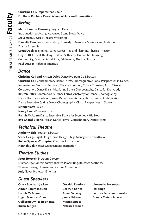# **Dr. Hollis Robbins, Dean, School of Arts and Humanities**

#### *Acting*

**Example 12 Separate Chair**<br> **Acting**<br> **Acting**<br> **Acting**<br> **Acting**<br> **Acting**<br> **Acting**<br> **Acting**<br> **Acting**<br> **Acting**<br> **Acting**<br> **Acting**<br> **Acting**<br> **Convert Californity, Come Study, C<br>
Danna Ensemble<br>
<b>Convert Californity Marie Ramirez Downing** Program Director Introduction to Acting, Advanced Scene Study, Voice, Movement, Devised Theatre Workshop **Danielle Cain** Voice, Scene Study, Comedy of Manners, Shakespeare, Audition, Drama Ensemble **Laura Odeh** Beginning Acting, Career Prep and Planning, Physical Theatre **Doyle Ott** Critical Thinking, Children's Theater, Humanities Learning Community, Commedia dell'Arte, Feldenkrais, Theatre History **Paul Draper** Professor Emeritus

#### *Dance*

**Christine Cali and Kristen Daley** Dance Program Co-Directors **Christine Cali** Contemporary Dance Forms, Choreography, Global Perspectives in Dance, Improvisation/Somatic Practices, Theatre in Action, Critical Thinking, Actor/Dancer Collaboration, Dance Ensemble, Spring Dance Choreography, Dance for Everybody **Kristen Daley** Contemporary Dance Forms, Anatomy for Dance, Choreography, Dance History & Criticism, Yoga, Dance Conditioning, Actor/Dancer Collaboration, Dance Ensemble, Spring Dance Choreography, Global Perspectives in Dance **Jennifer Jaffe** Ballet **Nancy Lyons** Professor Emeritus **Farrah McAdam** Dance Ensemble, Dance for Everybody, Hip Hop **Byb Chanel Bibene** African Dance Forms, Contemporary Dance Forms

## *Technical Theatre*

**Anthony Bish** Program Director Scene Design, Light Design, Prop Design, Stage Management, Portfolio **Robyn Spencer-Crompton** Costume Instruction **Hannah Dakin** Stage Management Instruction

#### *Theatre Studies*

**Scott Horstein** Program Director Dramaturgy, Contemporary Theatre, Playwriting, Research Methods, Theatre History, Humanities Learning Community **Judy Navas** Professor Emeritus

#### *Guest Speakers*

- **Olivia Bowman-Jackson Abdur-Rahim Jackson Farrah McAdam Logan Marshall-Green Guillermo Aviles-Rodriguez Rulan Tangen**
- **Osvaldo Ramirez Beowulf Boritt Adam Versényi Jamie Nakama Mestre Espaço Nakissa Etemad**
- **Uzoamaka Nwankpa Joti Singh Lourdes Guzmán González Brenda Muñoz Salazar**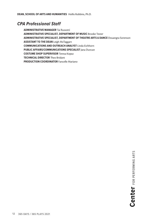#### *CPA Professional Staff*

**ADMINISTRATIVE MANAGER** Tai Russotti **ADMINISTRATIVE SPECIALIST, DEPARTMENT OF MUSIC** Brooke Tester **ADMINISTRATIVE SPECIALIST, DEPARTMENT OF THEATRE ARTS & DANCE** Douangta Sorenson **ASSISTANT TO THE DEAN** Leigh McTaggart **COMMUNICATIONS AND OUTREACH ANALYST** Linda Eichhorn **PUBLIC AFFAIRS/COMMUNICATIONS SPECIALIST** Jana Duncan **COSTUME SHOP SUPERVISOR** Teresa Kopaz **TECHNICAL DIRECTOR** Theo Bridant **PRODUCTION COORDINATOR** Fancelle Mariano